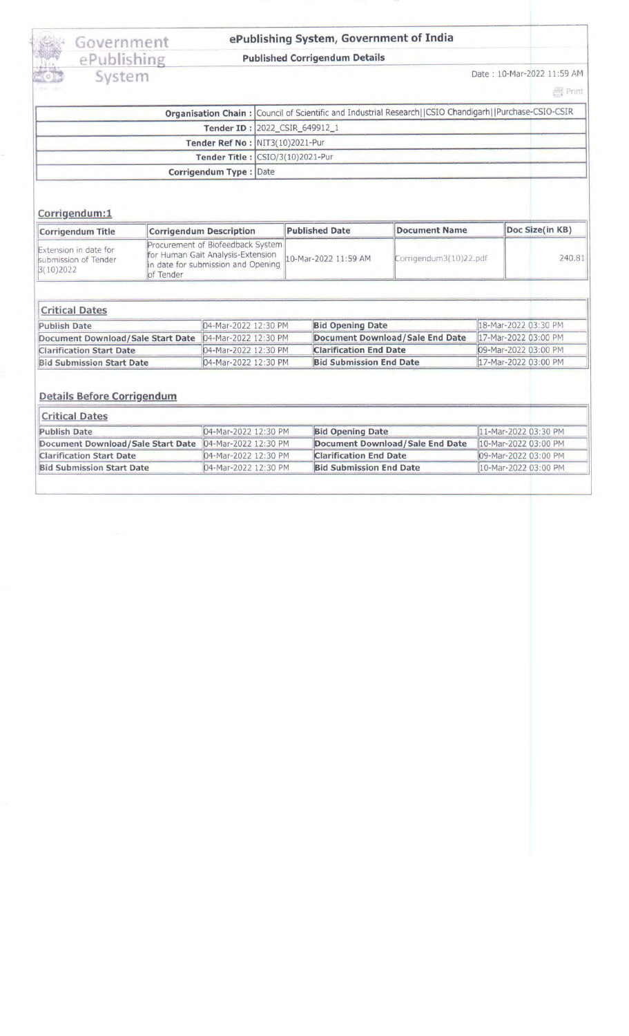Government<br>ePublishing<br>System

## ePublishing System, Government of India

#### **Published Corrigendum Details**

Date: 10-Mar-2022 11:59 AM

 $\frac{1}{2}$  Print

|                        | Organisation Chain: Council of Scientific and Industrial Research  CSIO Chandigarh  Purchase-CSIO-CSIR |  |  |
|------------------------|--------------------------------------------------------------------------------------------------------|--|--|
|                        | Tender ID : 2022 CSIR 649912 1                                                                         |  |  |
|                        | Tender Ref No: NIT3(10)2021-Pur                                                                        |  |  |
|                        | Tender Title : CSIO/3(10)2021-Pur                                                                      |  |  |
| Corrigendum Type: Date |                                                                                                        |  |  |

#### Corrigendum:1

| Corrigendum Title                                          | <b>Corrigendum Description</b>                                                                                                                 | <b>Published Date</b> | Document Name          | Doc Size(in KB) |
|------------------------------------------------------------|------------------------------------------------------------------------------------------------------------------------------------------------|-----------------------|------------------------|-----------------|
| Extension in date for<br>submission of Tender<br>3(10)2022 | Procurement of Biofeedback System<br>for Human Gait Analysis-Extension<br>in date for submission and Opening 10-Mar-2022 11:59 AM<br>of Tender |                       | Corrigendum3(10)22.pdf | 240.81          |

## **Critical Dates**

| <b>Publish Date</b>                                    | 04-Mar-2022 12:30 PM | <b>Bid Opening Date</b>         | 18-Mar-2022 03:30 PM |
|--------------------------------------------------------|----------------------|---------------------------------|----------------------|
| Document Download/Sale Start Date 04-Mar-2022 12:30 PM |                      | Document Download/Sale End Date | 17-Mar-2022 03:00 PM |
| <b>Clarification Start Date</b>                        | 04-Mar-2022 12:30 PM | <b>Clarification End Date</b>   | 09-Mar-2022 03:00 PM |
| <b>Bid Submission Start Date</b>                       | 04-Mar-2022 12:30 PM | <b>Bid Submission End Date</b>  | 17-Mar-2022 03:00 PM |

### **Details Before Corrigendum**

| <b>Critical Dates</b>                                  |                      |                                 |                      |  |  |
|--------------------------------------------------------|----------------------|---------------------------------|----------------------|--|--|
| <b>Publish Date</b>                                    | 04-Mar-2022 12:30 PM | <b>Bid Opening Date</b>         | 11-Mar-2022 03:30 PM |  |  |
| Document Download/Sale Start Date 04-Mar-2022 12:30 PM |                      | Document Download/Sale End Date | 10-Mar-2022 03:00 PM |  |  |
| <b>Clarification Start Date</b>                        | 04-Mar-2022 12:30 PM | <b>Clarification End Date</b>   | 09-Mar-2022 03:00 PM |  |  |
| <b>Bid Submission Start Date</b>                       | 04-Mar-2022 12:30 PM | <b>Bid Submission End Date</b>  | 10-Mar-2022 03:00 PM |  |  |